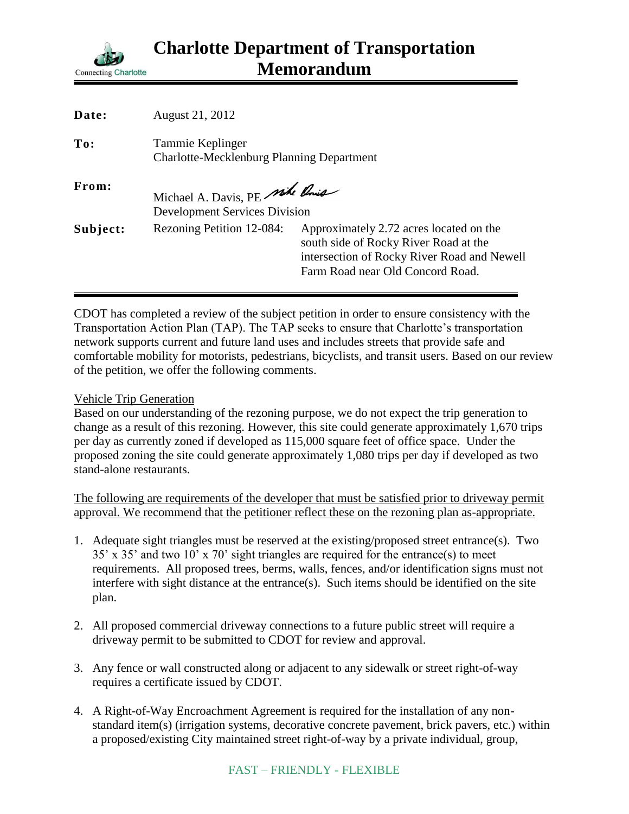

| Date:    | August 21, 2012                                                        |                                                                                                                                                                     |
|----------|------------------------------------------------------------------------|---------------------------------------------------------------------------------------------------------------------------------------------------------------------|
| To:      | Tammie Keplinger<br><b>Charlotte-Mecklenburg Planning Department</b>   |                                                                                                                                                                     |
| From:    | Michael A. Davis, PE side Rois<br><b>Development Services Division</b> |                                                                                                                                                                     |
| Subject: | Rezoning Petition 12-084:                                              | Approximately 2.72 acres located on the<br>south side of Rocky River Road at the<br>intersection of Rocky River Road and Newell<br>Farm Road near Old Concord Road. |

CDOT has completed a review of the subject petition in order to ensure consistency with the Transportation Action Plan (TAP). The TAP seeks to ensure that Charlotte's transportation network supports current and future land uses and includes streets that provide safe and comfortable mobility for motorists, pedestrians, bicyclists, and transit users. Based on our review of the petition, we offer the following comments.

## Vehicle Trip Generation

Based on our understanding of the rezoning purpose, we do not expect the trip generation to change as a result of this rezoning. However, this site could generate approximately 1,670 trips per day as currently zoned if developed as 115,000 square feet of office space. Under the proposed zoning the site could generate approximately 1,080 trips per day if developed as two stand-alone restaurants.

The following are requirements of the developer that must be satisfied prior to driveway permit approval. We recommend that the petitioner reflect these on the rezoning plan as-appropriate.

- 1. Adequate sight triangles must be reserved at the existing/proposed street entrance(s). Two 35' x 35' and two 10' x 70' sight triangles are required for the entrance(s) to meet requirements. All proposed trees, berms, walls, fences, and/or identification signs must not interfere with sight distance at the entrance(s). Such items should be identified on the site plan.
- 2. All proposed commercial driveway connections to a future public street will require a driveway permit to be submitted to CDOT for review and approval.
- 3. Any fence or wall constructed along or adjacent to any sidewalk or street right-of-way requires a certificate issued by CDOT.
- 4. A Right-of-Way Encroachment Agreement is required for the installation of any nonstandard item(s) (irrigation systems, decorative concrete pavement, brick pavers, etc.) within a proposed/existing City maintained street right-of-way by a private individual, group,